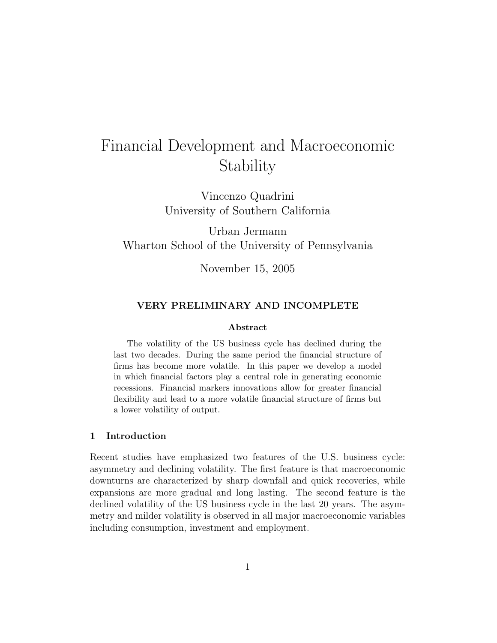# Financial Development and Macroeconomic Stability

Vincenzo Quadrini University of Southern California

Urban Jermann Wharton School of the University of Pennsylvania

November 15, 2005

### VERY PRELIMINARY AND INCOMPLETE

#### Abstract

The volatility of the US business cycle has declined during the last two decades. During the same period the financial structure of firms has become more volatile. In this paper we develop a model in which financial factors play a central role in generating economic recessions. Financial markers innovations allow for greater financial flexibility and lead to a more volatile financial structure of firms but a lower volatility of output.

#### 1 Introduction

Recent studies have emphasized two features of the U.S. business cycle: asymmetry and declining volatility. The first feature is that macroeconomic downturns are characterized by sharp downfall and quick recoveries, while expansions are more gradual and long lasting. The second feature is the declined volatility of the US business cycle in the last 20 years. The asymmetry and milder volatility is observed in all major macroeconomic variables including consumption, investment and employment.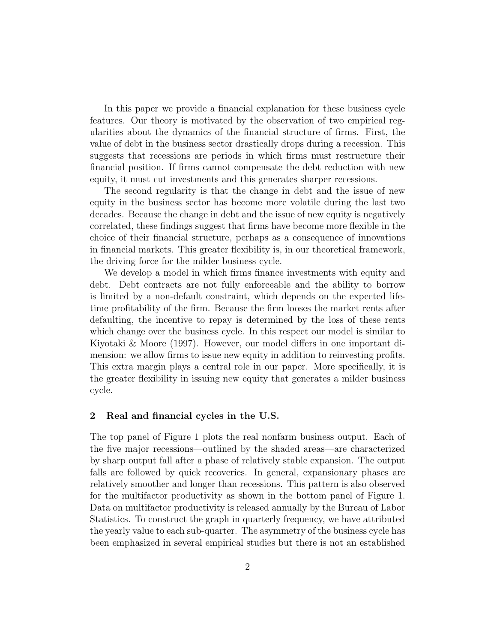In this paper we provide a financial explanation for these business cycle features. Our theory is motivated by the observation of two empirical regularities about the dynamics of the financial structure of firms. First, the value of debt in the business sector drastically drops during a recession. This suggests that recessions are periods in which firms must restructure their financial position. If firms cannot compensate the debt reduction with new equity, it must cut investments and this generates sharper recessions.

The second regularity is that the change in debt and the issue of new equity in the business sector has become more volatile during the last two decades. Because the change in debt and the issue of new equity is negatively correlated, these findings suggest that firms have become more flexible in the choice of their financial structure, perhaps as a consequence of innovations in financial markets. This greater flexibility is, in our theoretical framework, the driving force for the milder business cycle.

We develop a model in which firms finance investments with equity and debt. Debt contracts are not fully enforceable and the ability to borrow is limited by a non-default constraint, which depends on the expected lifetime profitability of the firm. Because the firm looses the market rents after defaulting, the incentive to repay is determined by the loss of these rents which change over the business cycle. In this respect our model is similar to Kiyotaki & Moore (1997). However, our model differs in one important dimension: we allow firms to issue new equity in addition to reinvesting profits. This extra margin plays a central role in our paper. More specifically, it is the greater flexibility in issuing new equity that generates a milder business cycle.

#### 2 Real and financial cycles in the U.S.

The top panel of Figure 1 plots the real nonfarm business output. Each of the five major recessions—outlined by the shaded areas—are characterized by sharp output fall after a phase of relatively stable expansion. The output falls are followed by quick recoveries. In general, expansionary phases are relatively smoother and longer than recessions. This pattern is also observed for the multifactor productivity as shown in the bottom panel of Figure 1. Data on multifactor productivity is released annually by the Bureau of Labor Statistics. To construct the graph in quarterly frequency, we have attributed the yearly value to each sub-quarter. The asymmetry of the business cycle has been emphasized in several empirical studies but there is not an established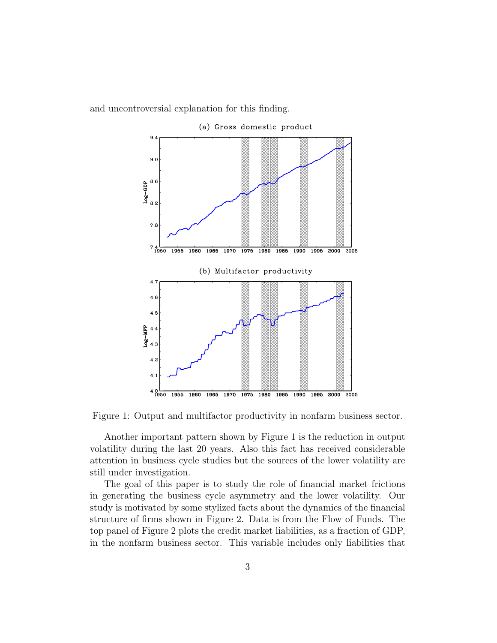and uncontroversial explanation for this finding.



Figure 1: Output and multifactor productivity in nonfarm business sector.

Another important pattern shown by Figure 1 is the reduction in output volatility during the last 20 years. Also this fact has received considerable attention in business cycle studies but the sources of the lower volatility are still under investigation.

The goal of this paper is to study the role of financial market frictions in generating the business cycle asymmetry and the lower volatility. Our study is motivated by some stylized facts about the dynamics of the financial structure of firms shown in Figure 2. Data is from the Flow of Funds. The top panel of Figure 2 plots the credit market liabilities, as a fraction of GDP, in the nonfarm business sector. This variable includes only liabilities that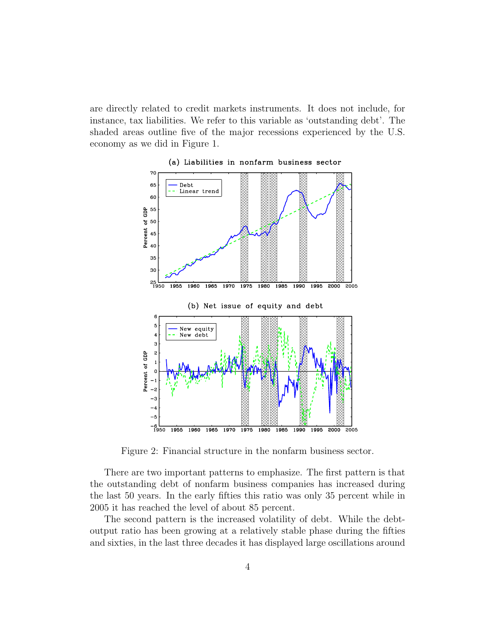are directly related to credit markets instruments. It does not include, for instance, tax liabilities. We refer to this variable as 'outstanding debt'. The shaded areas outline five of the major recessions experienced by the U.S. economy as we did in Figure 1.



(a) Liabilities in nonfarm business sector

Figure 2: Financial structure in the nonfarm business sector.

There are two important patterns to emphasize. The first pattern is that the outstanding debt of nonfarm business companies has increased during the last 50 years. In the early fifties this ratio was only 35 percent while in 2005 it has reached the level of about 85 percent.

The second pattern is the increased volatility of debt. While the debtoutput ratio has been growing at a relatively stable phase during the fifties and sixties, in the last three decades it has displayed large oscillations around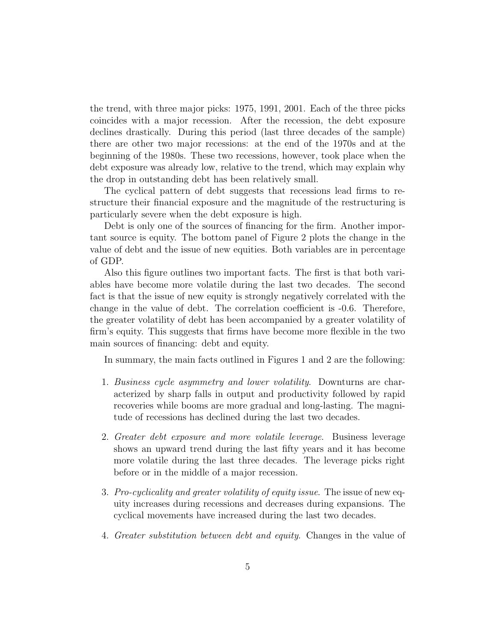the trend, with three major picks: 1975, 1991, 2001. Each of the three picks coincides with a major recession. After the recession, the debt exposure declines drastically. During this period (last three decades of the sample) there are other two major recessions: at the end of the 1970s and at the beginning of the 1980s. These two recessions, however, took place when the debt exposure was already low, relative to the trend, which may explain why the drop in outstanding debt has been relatively small.

The cyclical pattern of debt suggests that recessions lead firms to restructure their financial exposure and the magnitude of the restructuring is particularly severe when the debt exposure is high.

Debt is only one of the sources of financing for the firm. Another important source is equity. The bottom panel of Figure 2 plots the change in the value of debt and the issue of new equities. Both variables are in percentage of GDP.

Also this figure outlines two important facts. The first is that both variables have become more volatile during the last two decades. The second fact is that the issue of new equity is strongly negatively correlated with the change in the value of debt. The correlation coefficient is -0.6. Therefore, the greater volatility of debt has been accompanied by a greater volatility of firm's equity. This suggests that firms have become more flexible in the two main sources of financing: debt and equity.

In summary, the main facts outlined in Figures 1 and 2 are the following:

- 1. Business cycle asymmetry and lower volatility. Downturns are characterized by sharp falls in output and productivity followed by rapid recoveries while booms are more gradual and long-lasting. The magnitude of recessions has declined during the last two decades.
- 2. Greater debt exposure and more volatile leverage. Business leverage shows an upward trend during the last fifty years and it has become more volatile during the last three decades. The leverage picks right before or in the middle of a major recession.
- 3. Pro-cyclicality and greater volatility of equity issue. The issue of new equity increases during recessions and decreases during expansions. The cyclical movements have increased during the last two decades.
- 4. Greater substitution between debt and equity. Changes in the value of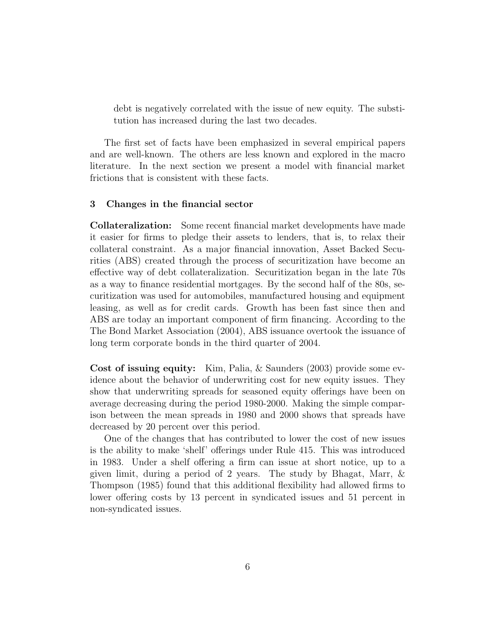debt is negatively correlated with the issue of new equity. The substitution has increased during the last two decades.

The first set of facts have been emphasized in several empirical papers and are well-known. The others are less known and explored in the macro literature. In the next section we present a model with financial market frictions that is consistent with these facts.

#### 3 Changes in the financial sector

Collateralization: Some recent financial market developments have made it easier for firms to pledge their assets to lenders, that is, to relax their collateral constraint. As a major financial innovation, Asset Backed Securities (ABS) created through the process of securitization have become an effective way of debt collateralization. Securitization began in the late 70s as a way to finance residential mortgages. By the second half of the 80s, securitization was used for automobiles, manufactured housing and equipment leasing, as well as for credit cards. Growth has been fast since then and ABS are today an important component of firm financing. According to the The Bond Market Association (2004), ABS issuance overtook the issuance of long term corporate bonds in the third quarter of 2004.

Cost of issuing equity: Kim, Palia, & Saunders (2003) provide some evidence about the behavior of underwriting cost for new equity issues. They show that underwriting spreads for seasoned equity offerings have been on average decreasing during the period 1980-2000. Making the simple comparison between the mean spreads in 1980 and 2000 shows that spreads have decreased by 20 percent over this period.

One of the changes that has contributed to lower the cost of new issues is the ability to make 'shelf' offerings under Rule 415. This was introduced in 1983. Under a shelf offering a firm can issue at short notice, up to a given limit, during a period of 2 years. The study by Bhagat, Marr, & Thompson (1985) found that this additional flexibility had allowed firms to lower offering costs by 13 percent in syndicated issues and 51 percent in non-syndicated issues.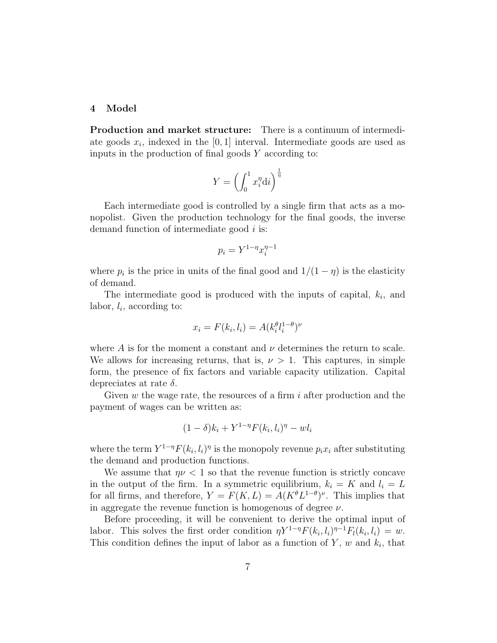#### 4 Model

Production and market structure: There is a continuum of intermediate goods  $x_i$ , indexed in the [0, 1] interval. Intermediate goods are used as inputs in the production of final goods Y according to:

$$
Y = \left(\int_0^1 x_i^{\eta} \mathrm{d}i\right)^{\frac{1}{\eta}}
$$

Each intermediate good is controlled by a single firm that acts as a monopolist. Given the production technology for the final goods, the inverse demand function of intermediate good i is:

$$
p_i = Y^{1-\eta}x_i^{\eta-1}
$$

where  $p_i$  is the price in units of the final good and  $1/(1 - \eta)$  is the elasticity of demand.

The intermediate good is produced with the inputs of capital,  $k_i$ , and labor,  $l_i$ , according to:

$$
x_i = F(k_i, l_i) = A(k_i^{\theta} l_i^{1-\theta})^{\nu}
$$

where A is for the moment a constant and  $\nu$  determines the return to scale. We allows for increasing returns, that is,  $\nu > 1$ . This captures, in simple form, the presence of fix factors and variable capacity utilization. Capital depreciates at rate  $\delta$ .

Given  $w$  the wage rate, the resources of a firm  $i$  after production and the payment of wages can be written as:

$$
(1 - \delta)k_i + Y^{1-\eta}F(k_i, l_i)^{\eta} - w l_i
$$

where the term  $Y^{1-\eta}F(k_i, l_i)^{\eta}$  is the monopoly revenue  $p_ix_i$  after substituting the demand and production functions.

We assume that  $\eta \nu < 1$  so that the revenue function is strictly concave in the output of the firm. In a symmetric equilibrium,  $k_i = K$  and  $l_i = L$ for all firms, and therefore,  $Y = F(K, L) = A(K^{\theta}L^{1-\theta})^{\nu}$ . This implies that in aggregate the revenue function is homogenous of degree  $\nu$ .

Before proceeding, it will be convenient to derive the optimal input of labor. This solves the first order condition  $\eta Y^{1-\eta} F(k_i, l_i)^{\eta-1} F_l(k_i, l_i) = w$ . This condition defines the input of labor as a function of  $Y$ ,  $w$  and  $k_i$ , that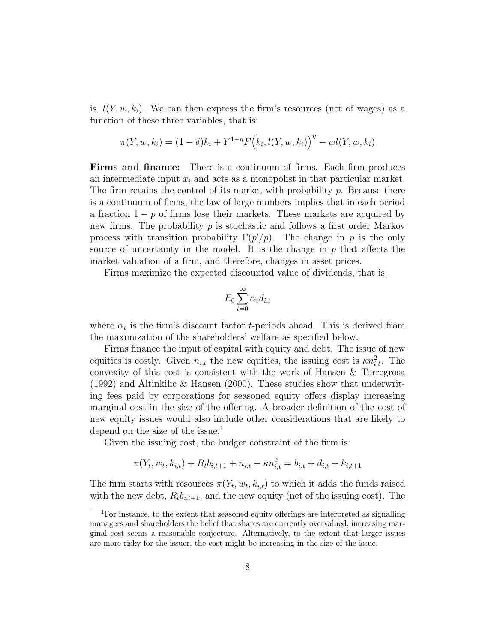is,  $l(Y, w, k<sub>i</sub>)$ . We can then express the firm's resources (net of wages) as a function of these three variables, that is:

$$
\pi(Y, w, k_i) = (1 - \delta)k_i + Y^{1 - \eta} F(k_i, l(Y, w, k_i))^\eta - w l(Y, w, k_i)
$$

Firms and finance: There is a continuum of firms. Each firm produces an intermediate input  $x_i$  and acts as a monopolist in that particular market. The firm retains the control of its market with probability p. Because there is a continuum of firms, the law of large numbers implies that in each period a fraction  $1 - p$  of firms lose their markets. These markets are acquired by new firms. The probability  $p$  is stochastic and follows a first order Markov process with transition probability  $\Gamma(p'/p)$ . The change in p is the only source of uncertainty in the model. It is the change in  $p$  that affects the market valuation of a firm, and therefore, changes in asset prices.

Firms maximize the expected discounted value of dividends, that is,

$$
E_0 \sum_{t=0}^{\infty} \alpha_t d_{i,t}
$$

where  $\alpha_t$  is the firm's discount factor *t*-periods ahead. This is derived from the maximization of the shareholders' welfare as specified below.

Firms finance the input of capital with equity and debt. The issue of new equities is costly. Given  $n_{i,t}$  the new equities, the issuing cost is  $\kappa n_{i,t}^2$ . The convexity of this cost is consistent with the work of Hansen & Torregrosa (1992) and Altinkilic & Hansen (2000). These studies show that underwriting fees paid by corporations for seasoned equity offers display increasing marginal cost in the size of the offering. A broader definition of the cost of new equity issues would also include other considerations that are likely to depend on the size of the issue.<sup>1</sup>

Given the issuing cost, the budget constraint of the firm is:

$$
\pi(Y_t, w_t, k_{i,t}) + R_t b_{i,t+1} + n_{i,t} - \kappa n_{i,t}^2 = b_{i,t} + d_{i,t} + k_{i,t+1}
$$

The firm starts with resources  $\pi(Y_t, w_t, k_{i,t})$  to which it adds the funds raised with the new debt,  $R_t b_{i,t+1}$ , and the new equity (net of the issuing cost). The

<sup>1</sup>For instance, to the extent that seasoned equity offerings are interpreted as signalling managers and shareholders the belief that shares are currently overvalued, increasing marginal cost seems a reasonable conjecture. Alternatively, to the extent that larger issues are more risky for the issuer, the cost might be increasing in the size of the issue.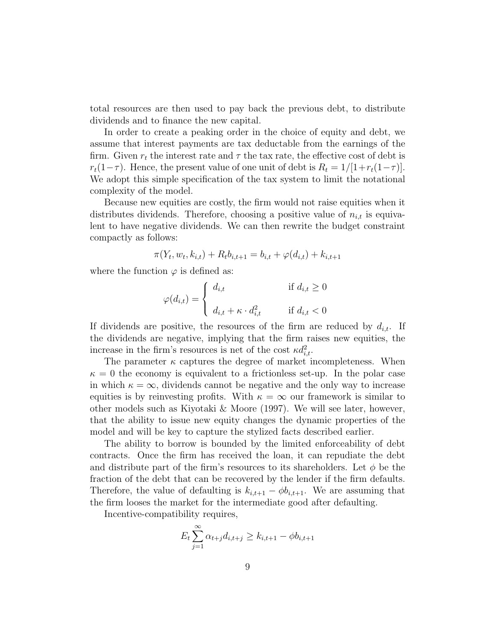total resources are then used to pay back the previous debt, to distribute dividends and to finance the new capital.

In order to create a peaking order in the choice of equity and debt, we assume that interest payments are tax deductable from the earnings of the firm. Given  $r_t$  the interest rate and  $\tau$  the tax rate, the effective cost of debt is  $r_t(1-\tau)$ . Hence, the present value of one unit of debt is  $R_t = 1/[1+r_t(1-\tau)]$ . We adopt this simple specification of the tax system to limit the notational complexity of the model.

Because new equities are costly, the firm would not raise equities when it distributes dividends. Therefore, choosing a positive value of  $n_{i,t}$  is equivalent to have negative dividends. We can then rewrite the budget constraint compactly as follows:

$$
\pi(Y_t, w_t, k_{i,t}) + R_t b_{i,t+1} = b_{i,t} + \varphi(d_{i,t}) + k_{i,t+1}
$$

where the function  $\varphi$  is defined as:

$$
\varphi(d_{i,t}) = \begin{cases} d_{i,t} & \text{if } d_{i,t} \ge 0 \\ d_{i,t} + \kappa \cdot d_{i,t}^2 & \text{if } d_{i,t} < 0 \end{cases}
$$

If dividends are positive, the resources of the firm are reduced by  $d_{i,t}$ . If the dividends are negative, implying that the firm raises new equities, the increase in the firm's resources is net of the cost  $\kappa d_{i,t}^2$ .

The parameter  $\kappa$  captures the degree of market incompleteness. When  $\kappa = 0$  the economy is equivalent to a frictionless set-up. In the polar case in which  $\kappa = \infty$ , dividends cannot be negative and the only way to increase equities is by reinvesting profits. With  $\kappa = \infty$  our framework is similar to other models such as Kiyotaki & Moore (1997). We will see later, however, that the ability to issue new equity changes the dynamic properties of the model and will be key to capture the stylized facts described earlier.

The ability to borrow is bounded by the limited enforceability of debt contracts. Once the firm has received the loan, it can repudiate the debt and distribute part of the firm's resources to its shareholders. Let  $\phi$  be the fraction of the debt that can be recovered by the lender if the firm defaults. Therefore, the value of defaulting is  $k_{i,t+1} - \phi b_{i,t+1}$ . We are assuming that the firm looses the market for the intermediate good after defaulting.

Incentive-compatibility requires,

$$
E_t \sum_{j=1}^{\infty} \alpha_{t+j} d_{i,t+j} \ge k_{i,t+1} - \phi b_{i,t+1}
$$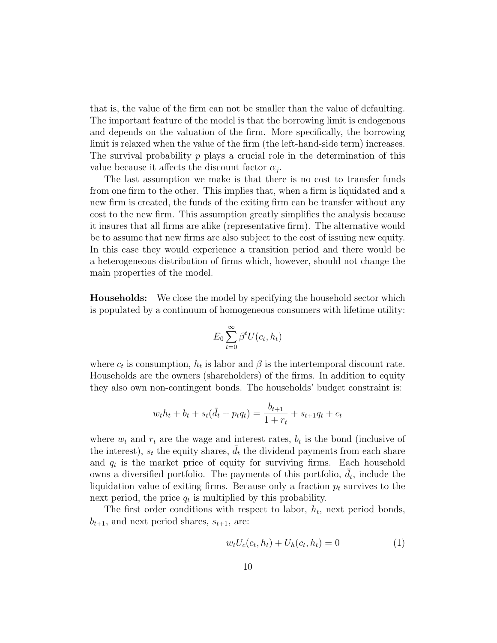that is, the value of the firm can not be smaller than the value of defaulting. The important feature of the model is that the borrowing limit is endogenous and depends on the valuation of the firm. More specifically, the borrowing limit is relaxed when the value of the firm (the left-hand-side term) increases. The survival probability  $p$  plays a crucial role in the determination of this value because it affects the discount factor  $\alpha_j$ .

The last assumption we make is that there is no cost to transfer funds from one firm to the other. This implies that, when a firm is liquidated and a new firm is created, the funds of the exiting firm can be transfer without any cost to the new firm. This assumption greatly simplifies the analysis because it insures that all firms are alike (representative firm). The alternative would be to assume that new firms are also subject to the cost of issuing new equity. In this case they would experience a transition period and there would be a heterogeneous distribution of firms which, however, should not change the main properties of the model.

Households: We close the model by specifying the household sector which is populated by a continuum of homogeneous consumers with lifetime utility:

$$
E_0 \sum_{t=0}^{\infty} \beta^t U(c_t, h_t)
$$

where  $c_t$  is consumption,  $h_t$  is labor and  $\beta$  is the intertemporal discount rate. Households are the owners (shareholders) of the firms. In addition to equity they also own non-contingent bonds. The households' budget constraint is:

$$
w_t h_t + b_t + s_t(\bar{d}_t + p_t q_t) = \frac{b_{t+1}}{1+r_t} + s_{t+1} q_t + c_t
$$

where  $w_t$  and  $r_t$  are the wage and interest rates,  $b_t$  is the bond (inclusive of the interest),  $s_t$  the equity shares,  $\overline{d}_t$  the dividend payments from each share and  $q_t$  is the market price of equity for surviving firms. Each household owns a diversified portfolio. The payments of this portfolio,  $\bar{d}_t$ , include the liquidation value of exiting firms. Because only a fraction  $p_t$  survives to the next period, the price  $q_t$  is multiplied by this probability.

The first order conditions with respect to labor,  $h_t$ , next period bonds,  $b_{t+1}$ , and next period shares,  $s_{t+1}$ , are:

$$
w_t U_c(c_t, h_t) + U_h(c_t, h_t) = 0
$$
\n(1)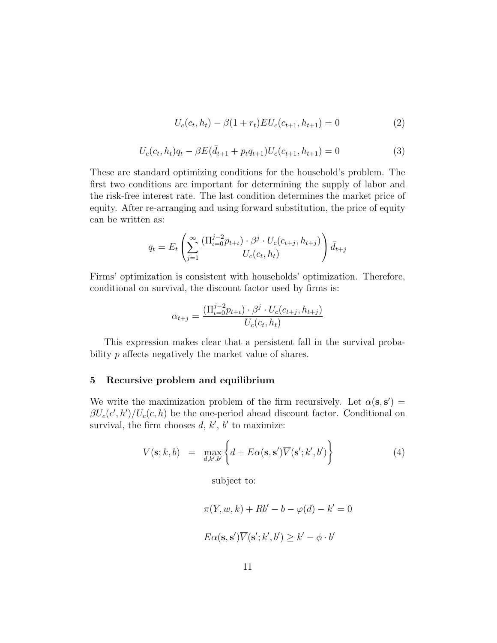$$
U_c(c_t, h_t) - \beta (1 + r_t) EU_c(c_{t+1}, h_{t+1}) = 0 \tag{2}
$$

$$
U_c(c_t, h_t)q_t - \beta E(\bar{d}_{t+1} + p_t q_{t+1})U_c(c_{t+1}, h_{t+1}) = 0
$$
\n(3)

These are standard optimizing conditions for the household's problem. The first two conditions are important for determining the supply of labor and the risk-free interest rate. The last condition determines the market price of equity. After re-arranging and using forward substitution, the price of equity can be written as:

$$
q_t = E_t \left( \sum_{j=1}^{\infty} \frac{(\Pi_{t=0}^{j-2} p_{t+t}) \cdot \beta^j \cdot U_c(c_{t+j}, h_{t+j})}{U_c(c_t, h_t)} \right) \bar{d}_{t+j}
$$

Firms' optimization is consistent with households' optimization. Therefore, conditional on survival, the discount factor used by firms is:

$$
\alpha_{t+j} = \frac{(\Pi_{t=0}^{j-2} p_{t+t}) \cdot \beta^j \cdot U_c(c_{t+j}, h_{t+j})}{U_c(c_t, h_t)}
$$

This expression makes clear that a persistent fall in the survival probability p affects negatively the market value of shares.

#### 5 Recursive problem and equilibrium

We write the maximization problem of the firm recursively. Let  $\alpha(s,s') =$  $\beta U_c(c',h')/U_c(c,h)$  be the one-period ahead discount factor. Conditional on survival, the firm chooses  $d, k', b'$  to maximize:

$$
V(\mathbf{s};k,b) = \max_{d,k',b'} \left\{ d + E\alpha(\mathbf{s}, \mathbf{s'}) \overline{V}(\mathbf{s'}; k', b') \right\}
$$
(4)

subject to:

$$
\pi(Y, w, k) + Rb' - b - \varphi(d) - k' = 0
$$

$$
E\alpha(\mathbf{s}, \mathbf{s}')\overline{V}(\mathbf{s}'; k', b') \ge k' - \phi \cdot b'
$$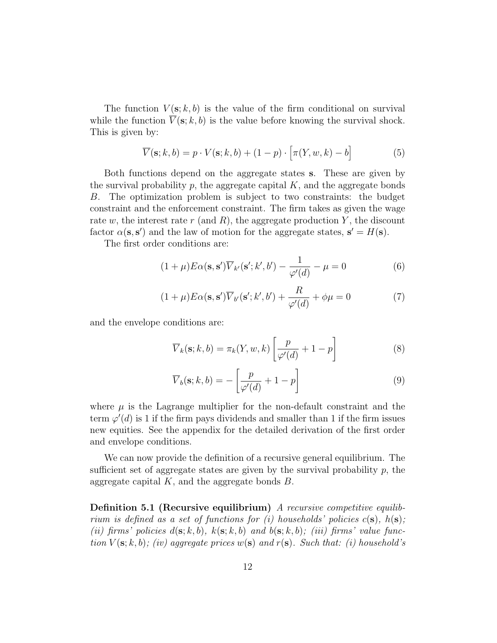The function  $V(\mathbf{s}; k, b)$  is the value of the firm conditional on survival while the function  $\overline{V}(\mathbf{s}; k, b)$  is the value before knowing the survival shock. This is given by:

$$
\overline{V}(\mathbf{s};k,b) = p \cdot V(\mathbf{s};k,b) + (1-p) \cdot \left[ \pi(Y,w,k) - b \right] \tag{5}
$$

Both functions depend on the aggregate states s. These are given by the survival probability  $p$ , the aggregate capital  $K$ , and the aggregate bonds B. The optimization problem is subject to two constraints: the budget constraint and the enforcement constraint. The firm takes as given the wage rate w, the interest rate r (and R), the aggregate production Y, the discount factor  $\alpha(\mathbf{s}, \mathbf{s}')$  and the law of motion for the aggregate states,  $\mathbf{s}' = H(\mathbf{s})$ .

The first order conditions are:

$$
(1+\mu)E\alpha(\mathbf{s}, \mathbf{s}')\overline{V}_{k'}(\mathbf{s}'; k', b') - \frac{1}{\varphi'(d)} - \mu = 0
$$
\n(6)

$$
(1+\mu)E\alpha(\mathbf{s}, \mathbf{s}')\overline{V}_{b'}(\mathbf{s}'; k', b') + \frac{R}{\varphi'(d)} + \phi\mu = 0
$$
\n(7)

and the envelope conditions are:

$$
\overline{V}_k(\mathbf{s}; k, b) = \pi_k(Y, w, k) \left[ \frac{p}{\varphi'(d)} + 1 - p \right]
$$
 (8)

$$
\overline{V}_b(\mathbf{s}; k, b) = -\left[\frac{p}{\varphi'(d)} + 1 - p\right]
$$
\n(9)

where  $\mu$  is the Lagrange multiplier for the non-default constraint and the term  $\varphi'(d)$  is 1 if the firm pays dividends and smaller than 1 if the firm issues new equities. See the appendix for the detailed derivation of the first order and envelope conditions.

We can now provide the definition of a recursive general equilibrium. The sufficient set of aggregate states are given by the survival probability  $p$ , the aggregate capital  $K$ , and the aggregate bonds  $B$ .

Definition 5.1 (Recursive equilibrium) A recursive competitive equilibrium is defined as a set of functions for (i) households' policies  $c(s)$ ,  $h(s)$ ; (ii) firms' policies  $d(s; k, b)$ ,  $k(s; k, b)$  and  $b(s; k, b)$ ; (iii) firms' value function  $V(\mathbf{s}; k, b)$ ; (iv) aggregate prices  $w(\mathbf{s})$  and  $r(\mathbf{s})$ . Such that: (i) household's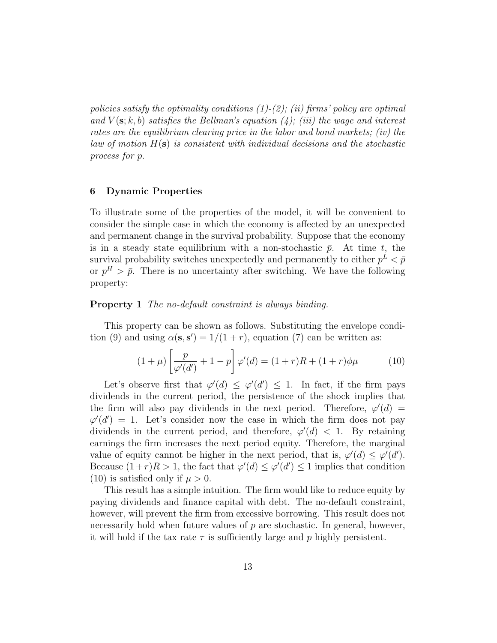policies satisfy the optimality conditions  $(1)-(2)$ ; (ii) firms' policy are optimal and  $V(\mathbf{s}; k, b)$  satisfies the Bellman's equation (4); (iii) the wage and interest rates are the equilibrium clearing price in the labor and bond markets; (iv) the law of motion  $H(s)$  is consistent with individual decisions and the stochastic process for p.

#### 6 Dynamic Properties

To illustrate some of the properties of the model, it will be convenient to consider the simple case in which the economy is affected by an unexpected and permanent change in the survival probability. Suppose that the economy is in a steady state equilibrium with a non-stochastic  $\bar{p}$ . At time t, the survival probability switches unexpectedly and permanently to either  $p^L < \bar{p}$ or  $p^H > \bar{p}$ . There is no uncertainty after switching. We have the following property:

#### Property 1 The no-default constraint is always binding.

This property can be shown as follows. Substituting the envelope condition (9) and using  $\alpha(\mathbf{s}, \mathbf{s}') = 1/(1+r)$ , equation (7) can be written as:

$$
(1 + \mu) \left[ \frac{p}{\varphi'(d')} + 1 - p \right] \varphi'(d) = (1 + r)R + (1 + r)\phi\mu \tag{10}
$$

Let's observe first that  $\varphi'(d) \leq \varphi'(d') \leq 1$ . In fact, if the firm pays dividends in the current period, the persistence of the shock implies that the firm will also pay dividends in the next period. Therefore,  $\varphi'(d)$  =  $\varphi'(d') = 1$ . Let's consider now the case in which the firm does not pay dividends in the current period, and therefore,  $\varphi'(d) < 1$ . By retaining earnings the firm increases the next period equity. Therefore, the marginal value of equity cannot be higher in the next period, that is,  $\varphi'(d) \leq \varphi'(d')$ . Because  $(1+r)R > 1$ , the fact that  $\varphi'(d) \leq \varphi'(d') \leq 1$  implies that condition (10) is satisfied only if  $\mu > 0$ .

This result has a simple intuition. The firm would like to reduce equity by paying dividends and finance capital with debt. The no-default constraint, however, will prevent the firm from excessive borrowing. This result does not necessarily hold when future values of p are stochastic. In general, however, it will hold if the tax rate  $\tau$  is sufficiently large and p highly persistent.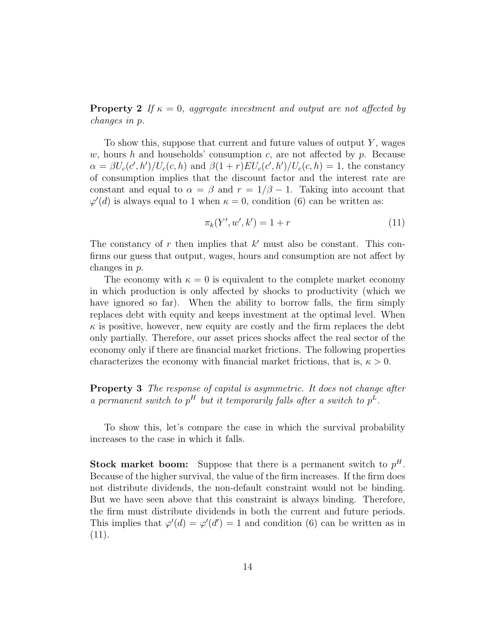**Property 2** If  $\kappa = 0$ , aggregate investment and output are not affected by changes in p.

To show this, suppose that current and future values of output  $Y$ , wages w, hours h and households' consumption c, are not affected by p. Because  $\alpha = \beta U_c(c',h')/U_c(c,h)$  and  $\beta(1+r)EU_c(c',h')/U_c(c,h) = 1$ , the constancy of consumption implies that the discount factor and the interest rate are constant and equal to  $\alpha = \beta$  and  $r = 1/\beta - 1$ . Taking into account that  $\varphi'(d)$  is always equal to 1 when  $\kappa = 0$ , condition (6) can be written as:

$$
\pi_k(Y', w', k') = 1 + r \tag{11}
$$

The constancy of  $r$  then implies that  $k'$  must also be constant. This confirms our guess that output, wages, hours and consumption are not affect by changes in p.

The economy with  $\kappa = 0$  is equivalent to the complete market economy in which production is only affected by shocks to productivity (which we have ignored so far). When the ability to borrow falls, the firm simply replaces debt with equity and keeps investment at the optimal level. When  $\kappa$  is positive, however, new equity are costly and the firm replaces the debt only partially. Therefore, our asset prices shocks affect the real sector of the economy only if there are financial market frictions. The following properties characterizes the economy with financial market frictions, that is,  $\kappa > 0$ .

**Property 3** The response of capital is asymmetric. It does not change after a permanent switch to  $p^H$  but it temporarily falls after a switch to  $p^L$ .

To show this, let's compare the case in which the survival probability increases to the case in which it falls.

**Stock market boom:** Suppose that there is a permanent switch to  $p^H$ . Because of the higher survival, the value of the firm increases. If the firm does not distribute dividends, the non-default constraint would not be binding. But we have seen above that this constraint is always binding. Therefore, the firm must distribute dividends in both the current and future periods. This implies that  $\varphi'(d) = \varphi'(d') = 1$  and condition (6) can be written as in  $(11).$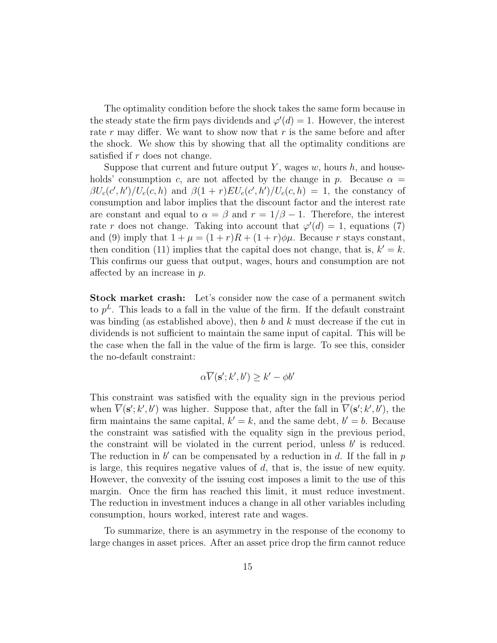The optimality condition before the shock takes the same form because in the steady state the firm pays dividends and  $\varphi'(d) = 1$ . However, the interest rate r may differ. We want to show now that r is the same before and after the shock. We show this by showing that all the optimality conditions are satisfied if r does not change.

Suppose that current and future output Y, wages  $w$ , hours  $h$ , and households' consumption c, are not affected by the change in p. Because  $\alpha =$  $\beta U_c(c',h')/U_c(c,h)$  and  $\beta(1+r)EU_c(c',h')/U_c(c,h) = 1$ , the constancy of consumption and labor implies that the discount factor and the interest rate are constant and equal to  $\alpha = \beta$  and  $r = 1/\beta - 1$ . Therefore, the interest rate r does not change. Taking into account that  $\varphi'(d) = 1$ , equations (7) and (9) imply that  $1 + \mu = (1 + r)R + (1 + r)\phi\mu$ . Because r stays constant, then condition (11) implies that the capital does not change, that is,  $k' = k$ . This confirms our guess that output, wages, hours and consumption are not affected by an increase in p.

Stock market crash: Let's consider now the case of a permanent switch to  $p<sup>L</sup>$ . This leads to a fall in the value of the firm. If the default constraint was binding (as established above), then b and k must decrease if the cut in dividends is not sufficient to maintain the same input of capital. This will be the case when the fall in the value of the firm is large. To see this, consider the no-default constraint:

$$
\alpha \overline{V}(\mathbf{s}'; k', b') \geq k' - \phi b'
$$

This constraint was satisfied with the equality sign in the previous period when  $\overline{V}(\mathbf{s}';k',b')$  was higher. Suppose that, after the fall in  $\overline{V}(\mathbf{s}';k',b')$ , the firm maintains the same capital,  $k' = k$ , and the same debt,  $b' = b$ . Because the constraint was satisfied with the equality sign in the previous period, the constraint will be violated in the current period, unless  $b'$  is reduced. The reduction in  $b'$  can be compensated by a reduction in  $d$ . If the fall in  $p$ is large, this requires negative values of  $d$ , that is, the issue of new equity. However, the convexity of the issuing cost imposes a limit to the use of this margin. Once the firm has reached this limit, it must reduce investment. The reduction in investment induces a change in all other variables including consumption, hours worked, interest rate and wages.

To summarize, there is an asymmetry in the response of the economy to large changes in asset prices. After an asset price drop the firm cannot reduce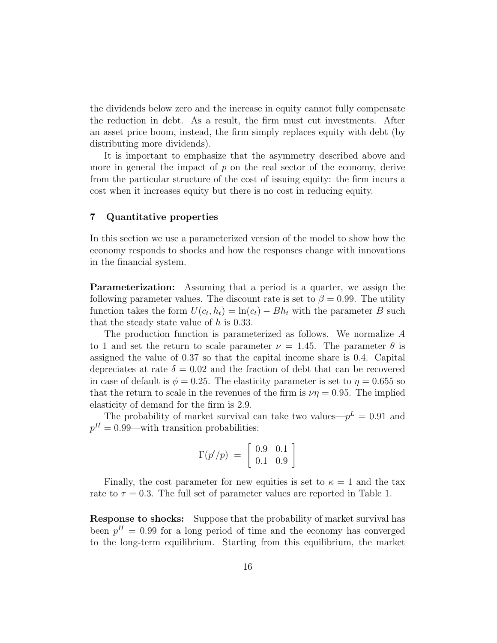the dividends below zero and the increase in equity cannot fully compensate the reduction in debt. As a result, the firm must cut investments. After an asset price boom, instead, the firm simply replaces equity with debt (by distributing more dividends).

It is important to emphasize that the asymmetry described above and more in general the impact of  $p$  on the real sector of the economy, derive from the particular structure of the cost of issuing equity: the firm incurs a cost when it increases equity but there is no cost in reducing equity.

#### 7 Quantitative properties

In this section we use a parameterized version of the model to show how the economy responds to shocks and how the responses change with innovations in the financial system.

**Parameterization:** Assuming that a period is a quarter, we assign the following parameter values. The discount rate is set to  $\beta = 0.99$ . The utility function takes the form  $U(c_t, h_t) = \ln(c_t) - Bh_t$  with the parameter B such that the steady state value of h is 0.33.

The production function is parameterized as follows. We normalize A to 1 and set the return to scale parameter  $\nu = 1.45$ . The parameter  $\theta$  is assigned the value of 0.37 so that the capital income share is 0.4. Capital depreciates at rate  $\delta = 0.02$  and the fraction of debt that can be recovered in case of default is  $\phi = 0.25$ . The elasticity parameter is set to  $\eta = 0.655$  so that the return to scale in the revenues of the firm is  $\nu\eta = 0.95$ . The implied elasticity of demand for the firm is 2.9.

The probability of market survival can take two values— $p^L = 0.91$  and  $p^H = 0.99$ —with transition probabilities:

$$
\Gamma(p'/p) \;=\; \left[\begin{array}{cc}0.9 & 0.1\\0.1 & 0.9\end{array}\right]
$$

Finally, the cost parameter for new equities is set to  $\kappa = 1$  and the tax rate to  $\tau = 0.3$ . The full set of parameter values are reported in Table 1.

Response to shocks: Suppose that the probability of market survival has been  $p<sup>H</sup> = 0.99$  for a long period of time and the economy has converged to the long-term equilibrium. Starting from this equilibrium, the market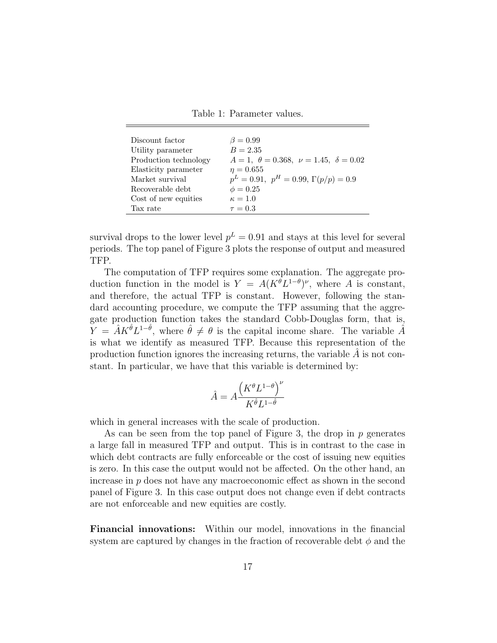Table 1: Parameter values.

| Discount factor       | $\beta = 0.99$                                           |
|-----------------------|----------------------------------------------------------|
| Utility parameter     | $B = 2.35$                                               |
| Production technology | $A = 1, \ \theta = 0.368, \ \nu = 1.45, \ \delta = 0.02$ |
| Elasticity parameter  | $\eta = 0.655$                                           |
| Market survival       | $p^L = 0.91$ , $p^H = 0.99$ , $\Gamma(p/p) = 0.9$        |
| Recoverable debt      | $\phi = 0.25$                                            |
| Cost of new equities  | $\kappa = 1.0$                                           |
| Tax rate              | $\tau = 0.3$                                             |
|                       |                                                          |

survival drops to the lower level  $p^L = 0.91$  and stays at this level for several periods. The top panel of Figure 3 plots the response of output and measured TFP.

The computation of TFP requires some explanation. The aggregate production function in the model is  $Y = A(K^{\theta}L^{1-\theta})^{\nu}$ , where A is constant, and therefore, the actual TFP is constant. However, following the standard accounting procedure, we compute the TFP assuming that the aggregate production function takes the standard Cobb-Douglas form, that is,  $\widetilde{Y} = \hat{A} K^{\hat{\theta}} L^{1-\hat{\theta}},$  where  $\hat{\theta} \neq \theta$  is the capital income share. The variable  $\hat{A}$ is what we identify as measured TFP. Because this representation of the production function ignores the increasing returns, the variable  $A$  is not constant. In particular, we have that this variable is determined by:

$$
\hat{A} = A \frac{\left(K^{\theta} L^{1-\theta}\right)^{\nu}}{K^{\hat{\theta}} L^{1-\hat{\theta}}}
$$

which in general increases with the scale of production.

As can be seen from the top panel of Figure 3, the drop in  $p$  generates a large fall in measured TFP and output. This is in contrast to the case in which debt contracts are fully enforceable or the cost of issuing new equities is zero. In this case the output would not be affected. On the other hand, an increase in p does not have any macroeconomic effect as shown in the second panel of Figure 3. In this case output does not change even if debt contracts are not enforceable and new equities are costly.

Financial innovations: Within our model, innovations in the financial system are captured by changes in the fraction of recoverable debt  $\phi$  and the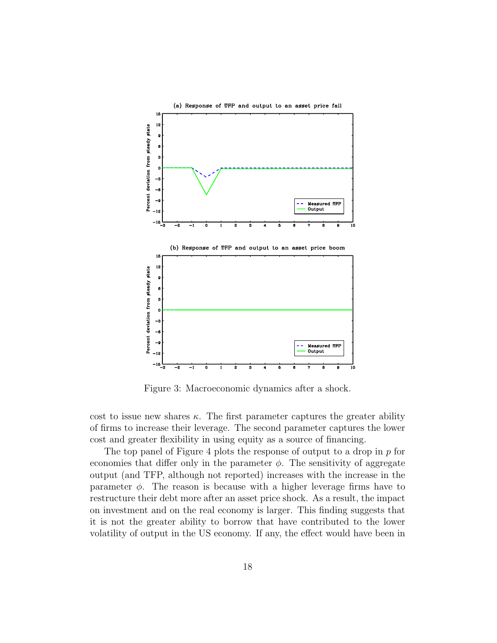

Figure 3: Macroeconomic dynamics after a shock.

cost to issue new shares  $\kappa$ . The first parameter captures the greater ability of firms to increase their leverage. The second parameter captures the lower cost and greater flexibility in using equity as a source of financing.

The top panel of Figure 4 plots the response of output to a drop in  $p$  for economies that differ only in the parameter  $\phi$ . The sensitivity of aggregate output (and TFP, although not reported) increases with the increase in the parameter  $\phi$ . The reason is because with a higher leverage firms have to restructure their debt more after an asset price shock. As a result, the impact on investment and on the real economy is larger. This finding suggests that it is not the greater ability to borrow that have contributed to the lower volatility of output in the US economy. If any, the effect would have been in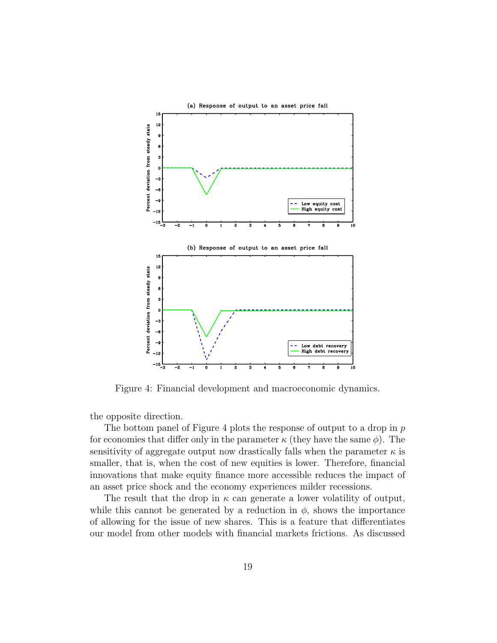

Figure 4: Financial development and macroeconomic dynamics.

the opposite direction.

The bottom panel of Figure 4 plots the response of output to a drop in  $p$ for economies that differ only in the parameter  $\kappa$  (they have the same  $\phi$ ). The sensitivity of aggregate output now drastically falls when the parameter  $\kappa$  is smaller, that is, when the cost of new equities is lower. Therefore, financial innovations that make equity finance more accessible reduces the impact of an asset price shock and the economy experiences milder recessions.

The result that the drop in  $\kappa$  can generate a lower volatility of output, while this cannot be generated by a reduction in  $\phi$ , shows the importance of allowing for the issue of new shares. This is a feature that differentiates our model from other models with financial markets frictions. As discussed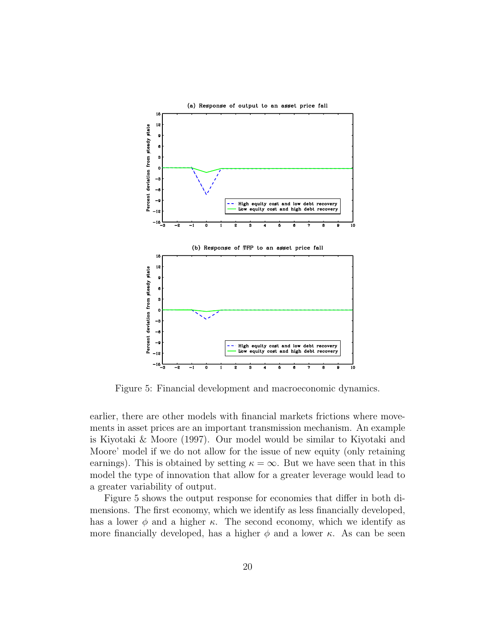

Figure 5: Financial development and macroeconomic dynamics.

earlier, there are other models with financial markets frictions where movements in asset prices are an important transmission mechanism. An example is Kiyotaki & Moore (1997). Our model would be similar to Kiyotaki and Moore' model if we do not allow for the issue of new equity (only retaining earnings). This is obtained by setting  $\kappa = \infty$ . But we have seen that in this model the type of innovation that allow for a greater leverage would lead to a greater variability of output.

Figure 5 shows the output response for economies that differ in both dimensions. The first economy, which we identify as less financially developed, has a lower  $\phi$  and a higher  $\kappa$ . The second economy, which we identify as more financially developed, has a higher  $\phi$  and a lower  $\kappa$ . As can be seen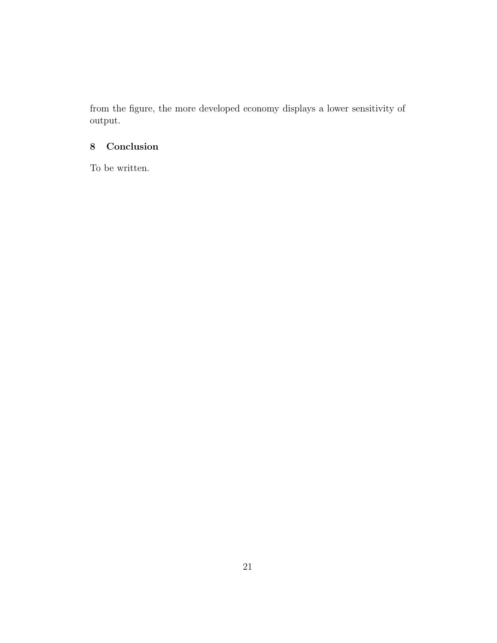from the figure, the more developed economy displays a lower sensitivity of output.

# 8 Conclusion

To be written.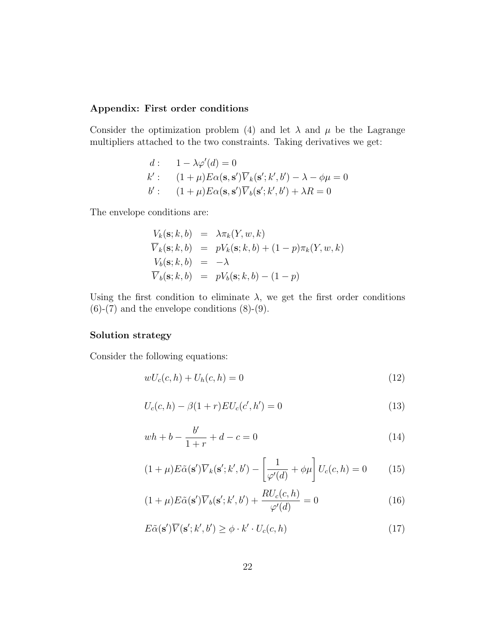#### Appendix: First order conditions

Consider the optimization problem (4) and let  $\lambda$  and  $\mu$  be the Lagrange multipliers attached to the two constraints. Taking derivatives we get:

$$
d: \quad 1 - \lambda \varphi'(d) = 0
$$
  
\n
$$
k': \quad (1 + \mu) E\alpha(\mathbf{s}, \mathbf{s}') \overline{V}_k(\mathbf{s}'; k', b') - \lambda - \phi\mu = 0
$$
  
\n
$$
b': \quad (1 + \mu) E\alpha(\mathbf{s}, \mathbf{s}') \overline{V}_b(\mathbf{s}'; k', b') + \lambda R = 0
$$

The envelope conditions are:

$$
V_k(\mathbf{s}; k, b) = \lambda \pi_k(Y, w, k)
$$
  
\n
$$
\overline{V}_k(\mathbf{s}; k, b) = pV_k(\mathbf{s}; k, b) + (1 - p)\pi_k(Y, w, k)
$$
  
\n
$$
V_b(\mathbf{s}; k, b) = -\lambda
$$
  
\n
$$
\overline{V}_b(\mathbf{s}; k, b) = pV_b(\mathbf{s}; k, b) - (1 - p)
$$

Using the first condition to eliminate  $\lambda$ , we get the first order conditions  $(6)-(7)$  and the envelope conditions  $(8)-(9)$ .

## Solution strategy

Consider the following equations:

$$
wU_c(c, h) + U_h(c, h) = 0
$$
\n(12)

$$
U_c(c, h) - \beta (1+r) EU_c(c', h') = 0
$$
\n(13)

$$
wh + b - \frac{b'}{1+r} + d - c = 0
$$
\n(14)

$$
(1+\mu)E\tilde{\alpha}(\mathbf{s}')\overline{V}_k(\mathbf{s}';k',b') - \left[\frac{1}{\varphi'(d)} + \phi\mu\right]U_c(c,h) = 0 \tag{15}
$$

$$
(1+\mu)E\tilde{\alpha}(\mathbf{s}')\overline{V}_b(\mathbf{s}';k',b') + \frac{RU_c(c,h)}{\varphi'(d)} = 0
$$
\n(16)

$$
E\tilde{\alpha}(\mathbf{s}')\overline{V}(\mathbf{s}';k',b') \ge \phi \cdot k' \cdot U_c(c,h)
$$
\n(17)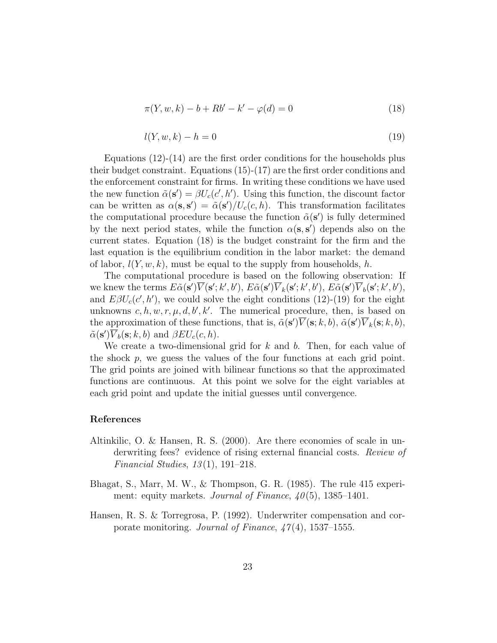$$
\pi(Y, w, k) - b + Rb' - k' - \varphi(d) = 0
$$
\n(18)

$$
l(Y, w, k) - h = 0 \tag{19}
$$

Equations  $(12)-(14)$  are the first order conditions for the households plus their budget constraint. Equations (15)-(17) are the first order conditions and the enforcement constraint for firms. In writing these conditions we have used the new function  $\tilde{\alpha}(\mathbf{s}') = \beta U_c(c', h')$ . Using this function, the discount factor can be written as  $\alpha(\mathbf{s}, \mathbf{s}') = \tilde{\alpha}(\mathbf{s}')/U_c(c, h)$ . This transformation facilitates the computational procedure because the function  $\tilde{\alpha}(s')$  is fully determined by the next period states, while the function  $\alpha(s, s')$  depends also on the current states. Equation (18) is the budget constraint for the firm and the last equation is the equilibrium condition in the labor market: the demand of labor,  $l(Y, w, k)$ , must be equal to the supply from households, h.

The computational procedure is based on the following observation: If we knew the terms  $E\tilde{\alpha}(s')\overline{V}(s';k',b'), E\tilde{\alpha}(s')\overline{V}_k(s';k',b'), E\tilde{\alpha}(s')\overline{V}_b(s';k',b'),$ and  $E\beta U_c(c',h')$ , we could solve the eight conditions (12)-(19) for the eight unknowns  $c, h, w, r, \mu, d, b', k'.$  The numerical procedure, then, is based on the approximation of these functions, that is,  $\tilde{\alpha}(s')\overline{V}(s;k,b)$ ,  $\tilde{\alpha}(s')\overline{V}_k(s;k,b)$ ,  $\tilde{\alpha}(s')\overline{V}_b(s;k,b)$  and  $\beta EU_c(c,h)$ .

We create a two-dimensional grid for  $k$  and  $b$ . Then, for each value of the shock  $p$ , we guess the values of the four functions at each grid point. The grid points are joined with bilinear functions so that the approximated functions are continuous. At this point we solve for the eight variables at each grid point and update the initial guesses until convergence.

#### References

- Altinkilic, O. & Hansen, R. S. (2000). Are there economies of scale in underwriting fees? evidence of rising external financial costs. Review of Financial Studies,  $13(1)$ , 191–218.
- Bhagat, S., Marr, M. W., & Thompson, G. R. (1985). The rule 415 experiment: equity markets. Journal of Finance,  $40(5)$ , 1385–1401.
- Hansen, R. S. & Torregrosa, P. (1992). Underwriter compensation and corporate monitoring. Journal of Finance,  $47(4)$ , 1537–1555.